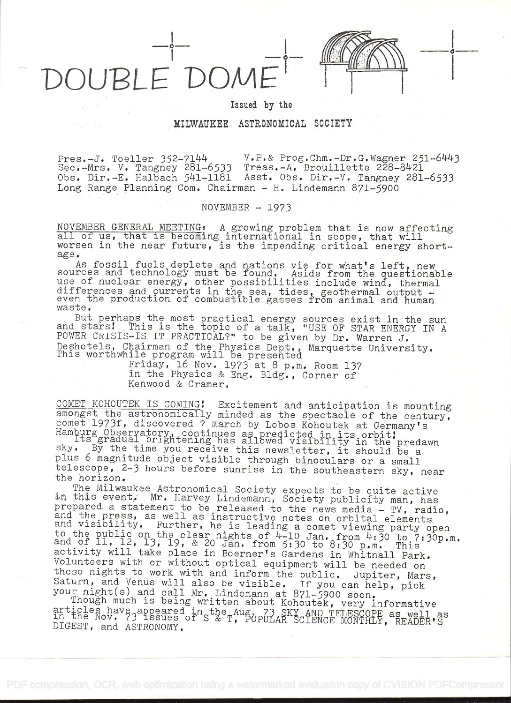NUBLE DOM

o

Issued by the

## MILWAUKEE ASTRONOMICAL SOCIETY

 $\text{Pres.} -\text{J.}$  Toeller 352-7144 V.P.& Prog.Chm.-Dr.G.Wagner 251-6443 Sec.-Mrs. V. Tangney 281–6533 Treas.-A. Brouillette 228–8421 Obs. Dir.-E. Halbach 541-1181 Asst. Obs. Dir.-V. Tangney 281-6533 Long Range Planning Com. Chairman - H. Lindemann 871-5900

## $NOVEMENT = 1973$

NOVEMBER GENERAL MEETING: A growing problem that is now affecting all of us, that is becoming international in scope, that will worsen in the near future, is the impending critical energy shortage.

As fossil fuels deplete and nations vie for what's left, new sources and technology must be found. Aside from the questionable use of nuclear energy, other possibilities include wind, thermal differences and currents in the sea, tides, geothermal output -<br>even the production of combustible gasses from animal and human waste.

But perhaps the most practical energy sources exist in the sun and stars! This is the topic of a talk, "USE OF STAR ENERGY IN A POWER CRISIS-IS IT PRACTICAL?" to be given by Dr. Warren J. Deshotels, Chairman of the Physics Dept.., Marquette University. This worthwhile program will be presented

Friday, 16 Nov. 1973 at 8 p.m. Room 137 in the Physics & Eng. Bldg., Corner of Kenwood & Cramer.

COMET KOHOUTEK IS COMING! Excitement and anticipation is mounting<br>amongst the astronomically minded as the spectacle of the century,

comet 1973f, discovered 7 March by Lobos Kohoutek at Germany's Hamburg Observatory, continues as predicted in its orbit!<br>Its gradual brightening has allowed visibility in the predawn<br>sky. By the time you receive this newsl telescope, 2-3 hours before sunrise in the southeastern sky, near

the horizon.<br>The Milwaukee Astronomical Society expects to be quite active<br>in this event, Mr. Harvey Lindemann, Society publicity man, has The Milwaukee Astronomical Society expects to be quite active<br>in this event, Mr. Harvey Lindemann, Society publicity man, has<br>prepared a statement to be released to the news media - TV, radio,<br>and the press, as well as ins to the public on the clear nights of 4-10 Jan. from 4:30 to 7:30p.m.<br>and of 11, 12, 13, 19, & 20 Jan. from 5:30 to 8:30 p.m. This<br>activity will take place in Boerner's Gardens in Whitnall Park.<br>Volunteers with or without o Saturn, and Venus will also be visible. If you can help, pick<br>your night(s) and call Mr. Lindemann at 871-5900 soon.<br>Though much is being written about Kohoutek, very informative

articles have appeared in the Aug. 73 SKY AND TELESCOPE as well as in the Nov. 73 issues of S & T, POPULAR SCIENCE MONTHLY, READER'S DIGEST, and ASTRONOMY.